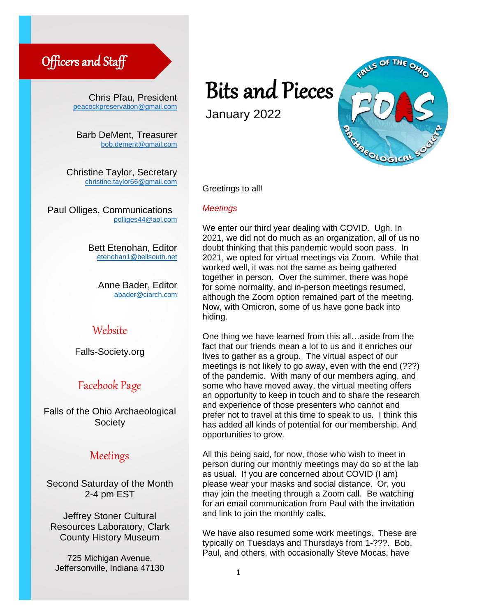# Officers and Staff

Chris Pfau, President [peacockpreservation@gmail.com](mailto:peacockpreservation@gmail.com)

Barb DeMent, Treasurer [bob.dement@gmail.com](mailto:bob.dement@gmail.com)

Christine Taylor, Secretary [christine.taylor66@gmail.com](mailto:christine.taylor66@gmail.com)

Paul Olliges, Communications [polliges44@aol.com](mailto:polliges44@aol.com)

> Bett Etenohan, Editor [etenohan1@bellsouth.net](mailto:etenohan1@bellsouth.net)

> > Anne Bader, Editor [abader@ciarch.com](mailto:abader@ciarch.com)

## Website

Falls-Society.org

# Facebook Page

Falls of the Ohio Archaeological **Society** 

## Meetings

Second Saturday of the Month 2-4 pm EST

Jeffrey Stoner Cultural Resources Laboratory, Clark County History Museum

725 Michigan Avenue, Jeffersonville, Indiana 47130

# Bits and Pieces

January 2022



Greetings to all!

#### *Meetings*

We enter our third year dealing with COVID. Ugh. In 2021, we did not do much as an organization, all of us no doubt thinking that this pandemic would soon pass. In 2021, we opted for virtual meetings via Zoom. While that worked well, it was not the same as being gathered together in person. Over the summer, there was hope for some normality, and in-person meetings resumed, although the Zoom option remained part of the meeting. Now, with Omicron, some of us have gone back into hiding. …<br>V<br>!0 ogether in person. Over the s<br>or some normality, and in-per<br>llthough the Zoom option rem<br>low, with Omicron, some of u

One thing we have learned from this all…aside from the fact that our friends mean a lot to us and it enriches our lives to gather as a group. The virtual aspect of our meetings is not likely to go away, even with the end (???) of the pandemic. With many of our members aging, and some who have moved away, the virtual meeting offers an opportunity to keep in touch and to share the research and experience of those presenters who cannot and prefer not to travel at this time to speak to us. I think this has added all kinds of potential for our membership. And opportunities to grow.

All this being said, for now, those who wish to meet in person during our monthly meetings may do so at the lab as usual. If you are concerned about COVID (I am) please wear your masks and social distance. Or, you may join the meeting through a Zoom call. Be watching for an email communication from Paul with the invitation and link to join the monthly calls.

We have also resumed some work meetings. These are typically on Tuesdays and Thursdays from 1-???. Bob, Paul, and others, with occasionally Steve Mocas, have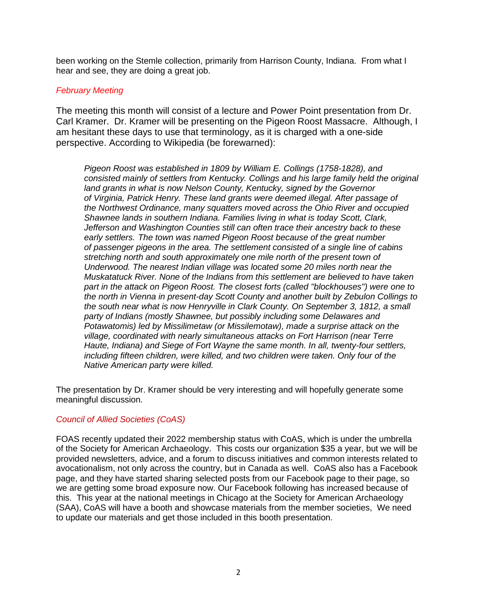been working on the Stemle collection, primarily from Harrison County, Indiana. From what I hear and see, they are doing a great job.

#### *February Meeting*

The meeting this month will consist of a lecture and Power Point presentation from Dr. Carl Kramer. Dr. Kramer will be presenting on the Pigeon Roost Massacre. Although, I am hesitant these days to use that terminology, as it is charged with a one-side perspective. According to Wikipedia (be forewarned):

*Pigeon Roost was established in 1809 by William E. Collings (1758-1828), and consisted mainly of settlers from [Kentucky.](https://en.wikipedia.org/wiki/Kentucky) Collings and his large family held the original land grants in what is now [Nelson County, Kentucky,](https://en.wikipedia.org/wiki/Nelson_County,_Kentucky) signed by the Governor of [Virginia,](https://en.wikipedia.org/wiki/Virginia) [Patrick Henry.](https://en.wikipedia.org/wiki/Patrick_Henry) These land grants were deemed illegal. After passage of the [Northwest Ordinance,](https://en.wikipedia.org/wiki/Northwest_Ordinance) many squatters moved across the [Ohio River](https://en.wikipedia.org/wiki/Ohio_River) and occupied Shawnee lands in southern Indiana. Families living in what is today Scott, Clark, Jefferson and Washington Counties still can often trace their ancestry back to these*  early settlers. The town was named Pigeon Roost because of the great number *of [passenger pigeons](https://en.wikipedia.org/wiki/Passenger_pigeon) in the area. The settlement consisted of a single line of cabins stretching north and south approximately one mile north of the present town of Underwood. The nearest Indian village was located some 20 miles north near the Muskatatuck River. None of the Indians from this settlement are believed to have taken part in the attack on Pigeon Roost. The closest forts (called "blockhouses") were one to the north in Vienna in present-day Scott County and another built by Zebulon Collings to the south near what is now Henryville in Clark County. On September 3, 1812, a small party of Indians (mostly [Shawnee,](https://en.wikipedia.org/wiki/Shawnee) but possibly including some Delawares and Potawatomis) led by Missilimetaw (or Missilemotaw), made a surprise attack on the village, coordinated with nearly simultaneous attacks on [Fort Harrison](https://en.wikipedia.org/wiki/Fort_Harrison) (near [Terre](https://en.wikipedia.org/wiki/Terre_Haute,_Indiana)  [Haute, Indiana\)](https://en.wikipedia.org/wiki/Terre_Haute,_Indiana) and [Siege of Fort Wayne](https://en.wikipedia.org/wiki/Fort_Wayne) the same month. In all, twenty-four settlers, including fifteen children, were killed, and two children were taken. Only four of the Native American party were killed.*

The presentation by Dr. Kramer should be very interesting and will hopefully generate some meaningful discussion.

### *Council of Allied Societies (CoAS)*

FOAS recently updated their 2022 membership status with CoAS, which is under the umbrella of the Society for American Archaeology. This costs our organization \$35 a year, but we will be provided newsletters, advice, and a forum to discuss initiatives and common interests related to avocationalism, not only across the country, but in Canada as well. CoAS also has a Facebook page, and they have started sharing selected posts from our Facebook page to their page, so we are getting some broad exposure now. Our Facebook following has increased because of this. This year at the national meetings in Chicago at the Society for American Archaeology (SAA), CoAS will have a booth and showcase materials from the member societies, We need to update our materials and get those included in this booth presentation.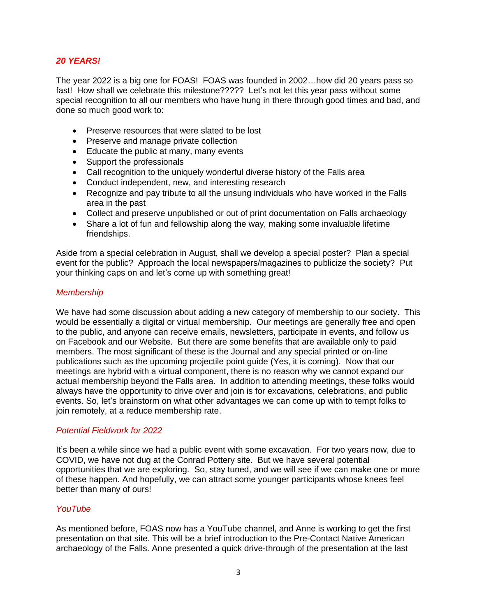#### *20 YEARS!*

The year 2022 is a big one for FOAS! FOAS was founded in 2002…how did 20 years pass so fast! How shall we celebrate this milestone????? Let's not let this year pass without some special recognition to all our members who have hung in there through good times and bad, and done so much good work to:

- Preserve resources that were slated to be lost
- Preserve and manage private collection
- Educate the public at many, many events
- Support the professionals
- Call recognition to the uniquely wonderful diverse history of the Falls area
- Conduct independent, new, and interesting research
- Recognize and pay tribute to all the unsung individuals who have worked in the Falls area in the past
- Collect and preserve unpublished or out of print documentation on Falls archaeology
- Share a lot of fun and fellowship along the way, making some invaluable lifetime friendships.

Aside from a special celebration in August, shall we develop a special poster? Plan a special event for the public? Approach the local newspapers/magazines to publicize the society? Put your thinking caps on and let's come up with something great!

#### *Membership*

We have had some discussion about adding a new category of membership to our society. This would be essentially a digital or virtual membership. Our meetings are generally free and open to the public, and anyone can receive emails, newsletters, participate in events, and follow us on Facebook and our Website. But there are some benefits that are available only to paid members. The most significant of these is the Journal and any special printed or on-line publications such as the upcoming projectile point guide (Yes, it is coming). Now that our meetings are hybrid with a virtual component, there is no reason why we cannot expand our actual membership beyond the Falls area. In addition to attending meetings, these folks would always have the opportunity to drive over and join is for excavations, celebrations, and public events. So, let's brainstorm on what other advantages we can come up with to tempt folks to join remotely, at a reduce membership rate.

#### *Potential Fieldwork for 2022*

It's been a while since we had a public event with some excavation. For two years now, due to COVID, we have not dug at the Conrad Pottery site. But we have several potential opportunities that we are exploring. So, stay tuned, and we will see if we can make one or more of these happen. And hopefully, we can attract some younger participants whose knees feel better than many of ours!

#### *YouTube*

As mentioned before, FOAS now has a YouTube channel, and Anne is working to get the first presentation on that site. This will be a brief introduction to the Pre-Contact Native American archaeology of the Falls. Anne presented a quick drive-through of the presentation at the last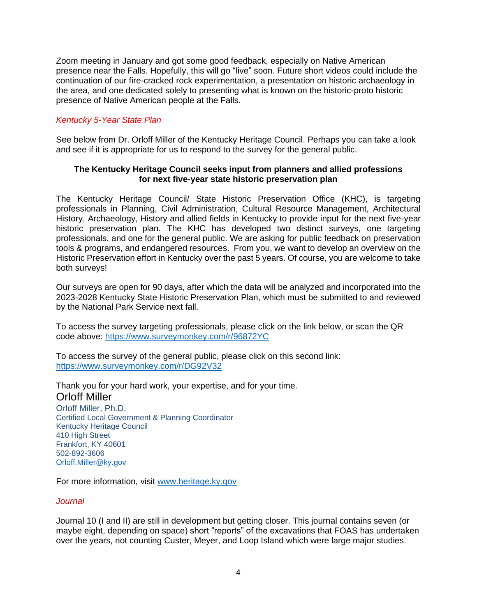Zoom meeting in January and got some good feedback, especially on Native American presence near the Falls. Hopefully, this will go "live" soon. Future short videos could include the continuation of our fire-cracked rock experimentation, a presentation on historic archaeology in the area, and one dedicated solely to presenting what is known on the historic-proto historic presence of Native American people at the Falls.

#### *Kentucky 5-Year State Plan*

See below from Dr. Orloff Miller of the Kentucky Heritage Council. Perhaps you can take a look and see if it is appropriate for us to respond to the survey for the general public.

#### **The Kentucky Heritage Council seeks input from planners and allied professions for next five-year state historic preservation plan**

The Kentucky Heritage Council/ State Historic Preservation Office (KHC), is targeting professionals in Planning, Civil Administration, Cultural Resource Management, Architectural History, Archaeology, History and allied fields in Kentucky to provide input for the next five-year historic preservation plan. The KHC has developed two distinct surveys, one targeting professionals, and one for the general public. We are asking for public feedback on preservation tools & programs, and endangered resources. From you, we want to develop an overview on the Historic Preservation effort in Kentucky over the past 5 years. Of course, you are welcome to take both surveys!

Our surveys are open for 90 days, after which the data will be analyzed and incorporated into the 2023-2028 Kentucky State Historic Preservation Plan, which must be submitted to and reviewed by the National Park Service next fall.

To access the survey targeting professionals, please click on the link below, or scan the QR code above:<https://www.surveymonkey.com/r/96872YC>

To access the survey of the general public, please click on this second link: <https://www.surveymonkey.com/r/DG92V32>

Thank you for your hard work, your expertise, and for your time. Orloff Miller

Orloff Miller, Ph.D. Certified Local Government & Planning Coordinator Kentucky Heritage Council 410 High Street Frankfort, KY 40601 502-892-3606 [Orloff.Miller@ky.gov](mailto:Orloff.Miller@ky.gov)

For more information, visit [www.heritage.ky.gov](http://www.heritage.ky.gov/)

#### *Journal*

Journal 10 (I and II) are still in development but getting closer. This journal contains seven (or maybe eight, depending on space) short "reports" of the excavations that FOAS has undertaken over the years, not counting Custer, Meyer, and Loop Island which were large major studies.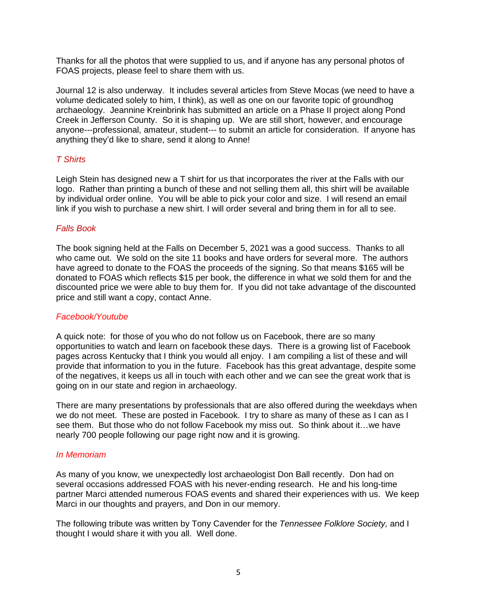Thanks for all the photos that were supplied to us, and if anyone has any personal photos of FOAS projects, please feel to share them with us.

Journal 12 is also underway. It includes several articles from Steve Mocas (we need to have a volume dedicated solely to him, I think), as well as one on our favorite topic of groundhog archaeology. Jeannine Kreinbrink has submitted an article on a Phase II project along Pond Creek in Jefferson County. So it is shaping up. We are still short, however, and encourage anyone---professional, amateur, student--- to submit an article for consideration. If anyone has anything they'd like to share, send it along to Anne!

#### *T Shirts*

Leigh Stein has designed new a T shirt for us that incorporates the river at the Falls with our logo. Rather than printing a bunch of these and not selling them all, this shirt will be available by individual order online. You will be able to pick your color and size. I will resend an email link if you wish to purchase a new shirt. I will order several and bring them in for all to see.

#### *Falls Book*

The book signing held at the Falls on December 5, 2021 was a good success. Thanks to all who came out. We sold on the site 11 books and have orders for several more. The authors have agreed to donate to the FOAS the proceeds of the signing. So that means \$165 will be donated to FOAS which reflects \$15 per book, the difference in what we sold them for and the discounted price we were able to buy them for. If you did not take advantage of the discounted price and still want a copy, contact Anne.

#### *Facebook/Youtube*

A quick note: for those of you who do not follow us on Facebook, there are so many opportunities to watch and learn on facebook these days. There is a growing list of Facebook pages across Kentucky that I think you would all enjoy. I am compiling a list of these and will provide that information to you in the future. Facebook has this great advantage, despite some of the negatives, it keeps us all in touch with each other and we can see the great work that is going on in our state and region in archaeology.

There are many presentations by professionals that are also offered during the weekdays when we do not meet. These are posted in Facebook. I try to share as many of these as I can as I see them. But those who do not follow Facebook my miss out. So think about it…we have nearly 700 people following our page right now and it is growing.

#### *In Memoriam*

As many of you know, we unexpectedly lost archaeologist Don Ball recently. Don had on several occasions addressed FOAS with his never-ending research. He and his long-time partner Marci attended numerous FOAS events and shared their experiences with us. We keep Marci in our thoughts and prayers, and Don in our memory.

The following tribute was written by Tony Cavender for the *Tennessee Folklore Society,* and I thought I would share it with you all. Well done.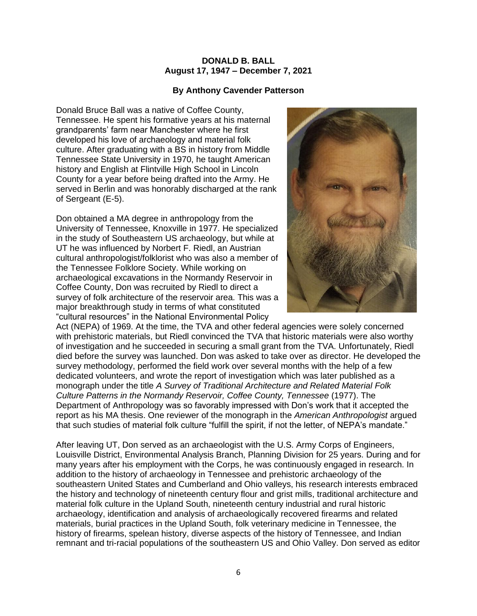#### **DONALD B. BALL August 17, 1947 – December 7, 2021**

#### **By Anthony Cavender Patterson**

Donald Bruce Ball was a native of Coffee County, Tennessee. He spent his formative years at his maternal grandparents' farm near Manchester where he first developed his love of archaeology and material folk culture. After graduating with a BS in history from Middle Tennessee State University in 1970, he taught American history and English at Flintville High School in Lincoln County for a year before being drafted into the Army. He served in Berlin and was honorably discharged at the rank of Sergeant (E-5).

Don obtained a MA degree in anthropology from the University of Tennessee, Knoxville in 1977. He specialized in the study of Southeastern US archaeology, but while at UT he was influenced by Norbert F. Riedl, an Austrian cultural anthropologist/folklorist who was also a member of the Tennessee Folklore Society. While working on archaeological excavations in the Normandy Reservoir in Coffee County, Don was recruited by Riedl to direct a survey of folk architecture of the reservoir area. This was a major breakthrough study in terms of what constituted "cultural resources" in the National Environmental Policy



Act (NEPA) of 1969. At the time, the TVA and other federal agencies were solely concerned with prehistoric materials, but Riedl convinced the TVA that historic materials were also worthy of investigation and he succeeded in securing a small grant from the TVA. Unfortunately, Riedl died before the survey was launched. Don was asked to take over as director. He developed the survey methodology, performed the field work over several months with the help of a few dedicated volunteers, and wrote the report of investigation which was later published as a monograph under the title *A Survey of Traditional Architecture and Related Material Folk Culture Patterns in the Normandy Reservoir, Coffee County, Tennessee* (1977). The Department of Anthropology was so favorably impressed with Don's work that it accepted the report as his MA thesis. One reviewer of the monograph in the *American Anthropologist* argued that such studies of material folk culture "fulfill the spirit, if not the letter, of NEPA's mandate."

After leaving UT, Don served as an archaeologist with the U.S. Army Corps of Engineers, Louisville District, Environmental Analysis Branch, Planning Division for 25 years. During and for many years after his employment with the Corps, he was continuously engaged in research. In addition to the history of archaeology in Tennessee and prehistoric archaeology of the southeastern United States and Cumberland and Ohio valleys, his research interests embraced the history and technology of nineteenth century flour and grist mills, traditional architecture and material folk culture in the Upland South, nineteenth century industrial and rural historic archaeology, identification and analysis of archaeologically recovered firearms and related materials, burial practices in the Upland South, folk veterinary medicine in Tennessee, the history of firearms, spelean history, diverse aspects of the history of Tennessee, and Indian remnant and tri-racial populations of the southeastern US and Ohio Valley. Don served as editor